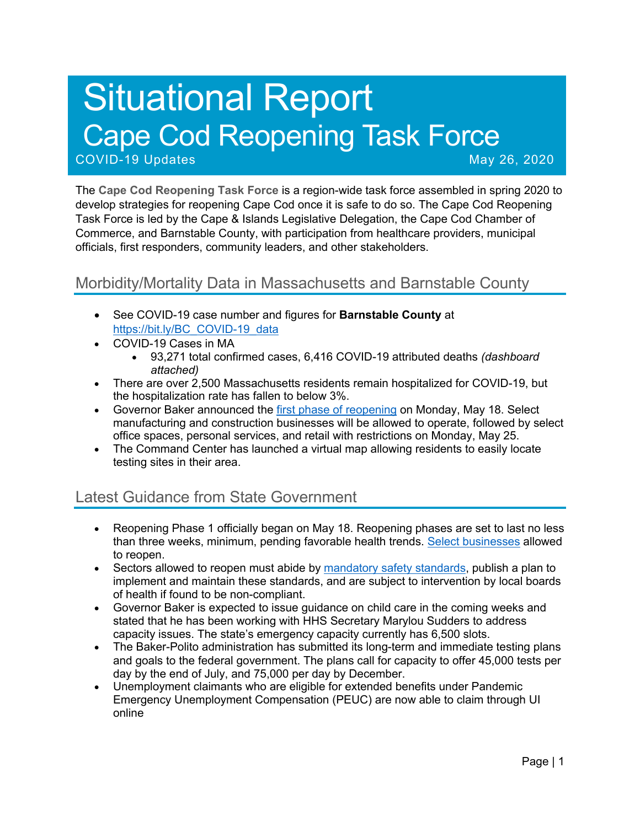# Situational Report Cape Cod Reopening Task Force

COVID-19 Updates May 26, 2020

The **Cape Cod Reopening Task Force** is a region-wide task force assembled in spring 2020 to develop strategies for reopening Cape Cod once it is safe to do so. The Cape Cod Reopening Task Force is led by the Cape & Islands Legislative Delegation, the Cape Cod Chamber of Commerce, and Barnstable County, with participation from healthcare providers, municipal officials, first responders, community leaders, and other stakeholders.

## Morbidity/Mortality Data in Massachusetts and Barnstable County

- See COVID-19 case number and figures for **Barnstable County** at https://bit.ly/BC\_COVID-19\_data
- COVID-19 Cases in MA
	- 93,271 total confirmed cases, 6,416 COVID-19 attributed deaths *(dashboard attached)*
- There are over 2,500 Massachusetts residents remain hospitalized for COVID-19, but the hospitalization rate has fallen to below 3%.
- Governor Baker announced the first phase of reopening on Monday, May 18. Select manufacturing and construction businesses will be allowed to operate, followed by select office spaces, personal services, and retail with restrictions on Monday, May 25.
- The Command Center has launched a virtual map allowing residents to easily locate testing sites in their area.

## Latest Guidance from State Government

- Reopening Phase 1 officially began on May 18. Reopening phases are set to last no less than three weeks, minimum, pending favorable health trends. Select businesses allowed to reopen.
- Sectors allowed to reopen must abide by mandatory safety standards, publish a plan to implement and maintain these standards, and are subject to intervention by local boards of health if found to be non-compliant.
- Governor Baker is expected to issue guidance on child care in the coming weeks and stated that he has been working with HHS Secretary Marylou Sudders to address capacity issues. The state's emergency capacity currently has 6,500 slots.
- The Baker-Polito administration has submitted its long-term and immediate testing plans and goals to the federal government. The plans call for capacity to offer 45,000 tests per day by the end of July, and 75,000 per day by December.
- Unemployment claimants who are eligible for extended benefits under Pandemic Emergency Unemployment Compensation (PEUC) are now able to claim through UI online